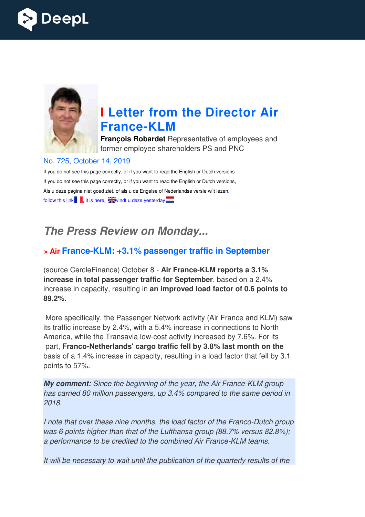



## **I Letter from the Director Air France France-KLM**

**François Robardet** Representative of employees and former employee shareholders PS and PNC

#### No. 725, October 14, 2019

If you do not see this page correctly, or if you want to read the English or Dutch versions If you do not see this page correctly, or if you want to read the English or Dutch versions, Als u deze pagina niet goed ziet, of als u de Engelse of Nederlandse versie wilt lezen, follow this link  $\blacksquare$ , it is here,  $\frac{1}{2}$  vindt u deze yesterday  $\blacksquare$ 

## *The Press Review on Monday...*

## **> Air France-KLM: +3.1% passenger traffic in September KLM:**

(source CercleFinance) October 8 - Air France-KLM reports a 3.1% **increase in total passenger traffic for September** , based on a 2.4% increase in capacity, resulting in **an improved load factor of 0.6 points to 89.2%.** 

More specifically, the Passenger Network activity (Air France and KLM) saw its traffic increase by 2.4%, with a 5.4% increase in connections to North America, while the Transavia low-cost activity increased by 7.6%. For its part, Franco-Netherlands' cargo traffic fell by 3.8% last month on the basis of a 1.4% increase in capacity, resulting in a load factor that fell by 3.1 points to 57%.

**My comment:** Since the beginning of the year, the Air France-KLM group has carried 80 million passengers, up 3.4% compared to the same period in 2018.

I note that over these nine months, the load factor of the Franco-Dutch group was 6 points higher than that of the Lufthansa group (88.7% versus 82.8%); a performance to be credited to the combined Air France-KLM teams. f the year, the Air France-KLM gro<br>19.4% compared to the same perionel<br>19.4% compared to the Same perionel<br>19.7% versus 82.<br>19.2% versus 82.<br>19.1% ombined Air France-KLM teams.

It will be necessary to wait until the publication of the quarterly results of the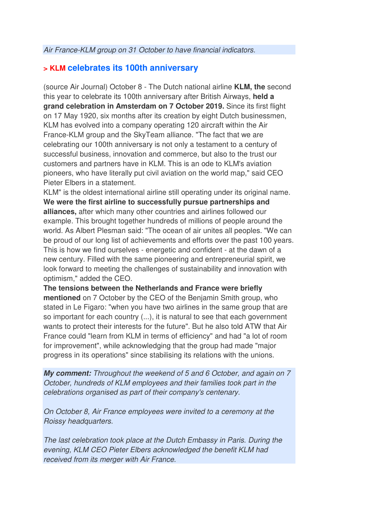### **> KLM celebrates its 100th anniversary**

(source Air Journal) October 8 - The Dutch national airline **KLM, the** second this year to celebrate its 100th anniversary after British Airways, **held a grand celebration in Amsterdam on 7 October 2019.** Since its first flight on 17 May 1920, six months after its creation by eight Dutch businessmen, KLM has evolved into a company operating 120 aircraft within the Air France-KLM group and the SkyTeam alliance. "The fact that we are celebrating our 100th anniversary is not only a testament to a century of successful business, innovation and commerce, but also to the trust our customers and partners have in KLM. This is an ode to KLM's aviation pioneers, who have literally put civil aviation on the world map," said CEO Pieter Elbers in a statement.

KLM" is the oldest international airline still operating under its original name. **We were the first airline to successfully pursue partnerships and alliances,** after which many other countries and airlines followed our example. This brought together hundreds of millions of people around the world. As Albert Plesman said: "The ocean of air unites all peoples. "We can be proud of our long list of achievements and efforts over the past 100 years. This is how we find ourselves - energetic and confident - at the dawn of a new century. Filled with the same pioneering and entrepreneurial spirit, we look forward to meeting the challenges of sustainability and innovation with optimism," added the CEO.

**The tensions between the Netherlands and France were briefly mentioned** on 7 October by the CEO of the Benjamin Smith group, who stated in Le Figaro: "when you have two airlines in the same group that are so important for each country (...), it is natural to see that each government wants to protect their interests for the future". But he also told ATW that Air France could "learn from KLM in terms of efficiency" and had "a lot of room for improvement", while acknowledging that the group had made "major progress in its operations" since stabilising its relations with the unions.

*My comment:* Throughout the weekend of 5 and 6 October, and again on 7 October, hundreds of KLM employees and their families took part in the celebrations organised as part of their company's centenary.

On October 8, Air France employees were invited to a ceremony at the Roissy headquarters.

The last celebration took place at the Dutch Embassy in Paris. During the evening, KLM CEO Pieter Elbers acknowledged the benefit KLM had received from its merger with Air France.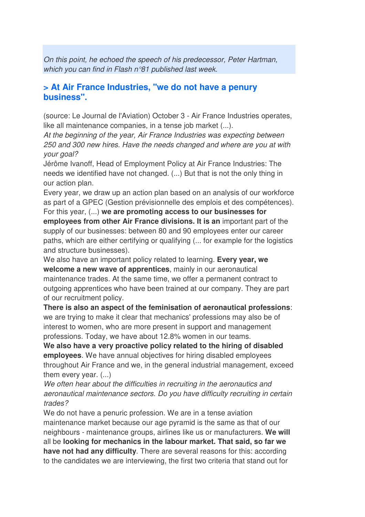On this point, he echoed the speech of his predecessor, Peter Hartman, which you can find in Flash n°81 published last week.

#### **> At Air France Industries, "we do not have a penury business".**

(source: Le Journal de l'Aviation) October 3 - Air France Industries operates, like all maintenance companies, in a tense job market (...).

At the beginning of the year, Air France Industries was expecting between 250 and 300 new hires. Have the needs changed and where are you at with your goal?

Jérôme Ivanoff, Head of Employment Policy at Air France Industries: The needs we identified have not changed. (...) But that is not the only thing in our action plan.

Every year, we draw up an action plan based on an analysis of our workforce as part of a GPEC (Gestion prévisionnelle des emplois et des compétences).

For this year, (...) **we are promoting access to our businesses for employees from other Air France divisions. It is an** important part of the supply of our businesses: between 80 and 90 employees enter our career paths, which are either certifying or qualifying (... for example for the logistics and structure businesses).

We also have an important policy related to learning. **Every year, we welcome a new wave of apprentices**, mainly in our aeronautical maintenance trades. At the same time, we offer a permanent contract to outgoing apprentices who have been trained at our company. They are part of our recruitment policy.

**There is also an aspect of the feminisation of aeronautical professions**: we are trying to make it clear that mechanics' professions may also be of interest to women, who are more present in support and management professions. Today, we have about 12.8% women in our teams.

**We also have a very proactive policy related to the hiring of disabled employees**. We have annual objectives for hiring disabled employees throughout Air France and we, in the general industrial management, exceed them every year. (...)

We often hear about the difficulties in recruiting in the aeronautics and aeronautical maintenance sectors. Do you have difficulty recruiting in certain trades?

We do not have a penuric profession. We are in a tense aviation maintenance market because our age pyramid is the same as that of our neighbours - maintenance groups, airlines like us or manufacturers. **We will** all be **looking for mechanics in the labour market. That said, so far we have not had any difficulty**. There are several reasons for this: according to the candidates we are interviewing, the first two criteria that stand out for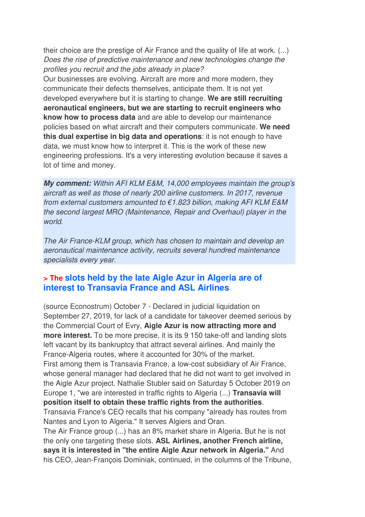their choice are the prestige of Air France and the quality of life at work. (...) Does the rise of predictive maintenance and new technologies change the profiles you recruit and the jobs already in place?

Our businesses are evolving. Aircraft are more and more modern, they communicate their defects themselves, anticipate them. It is not yet developed everywhere but it is starting to change. **We are still recruiting aeronautical engineers, but we are starting to recruit engineers who know how to process data** and are able to develop our maintenance policies based on what aircraft and their computers communicate. **We need this dual expertise in big data and operations**: it is not enough to have data, we must know how to interpret it. This is the work of these new engineering professions. It's a very interesting evolution because it saves a lot of time and money.

*My comment:* Within AFI KLM E&M, 14,000 employees maintain the group's aircraft as well as those of nearly 200 airline customers. In 2017, revenue from external customers amounted to  $\epsilon$ 1.823 billion, making AFI KLM E&M the second largest MRO (Maintenance, Repair and Overhaul) player in the world.

The Air France-KLM group, which has chosen to maintain and develop an aeronautical maintenance activity, recruits several hundred maintenance specialists every year.

#### **> The slots held by the late Aigle Azur in Algeria are of interest to Transavia France and ASL Airlines**

(source Econostrum) October 7 - Declared in judicial liquidation on September 27, 2019, for lack of a candidate for takeover deemed serious by the Commercial Court of Evry, **Aigle Azur is now attracting more and more interest.** To be more precise, it is its 9 150 take-off and landing slots left vacant by its bankruptcy that attract several airlines. And mainly the France-Algeria routes, where it accounted for 30% of the market. First among them is Transavia France, a low-cost subsidiary of Air France, whose general manager had declared that he did not want to get involved in the Aigle Azur project. Nathalie Stubler said on Saturday 5 October 2019 on Europe 1, "we are interested in traffic rights to Algeria (...) **Transavia will position itself to obtain these traffic rights from the authorities**. Transavia France's CEO recalls that his company "already has routes from Nantes and Lyon to Algeria." It serves Algiers and Oran. The Air France group (...) has an 8% market share in Algeria. But he is not the only one targeting these slots. **ASL Airlines, another French airline, says it is interested in "the entire Aigle Azur network in Algeria."** And his CEO, Jean-François Dominiak, continued, in the columns of the Tribune,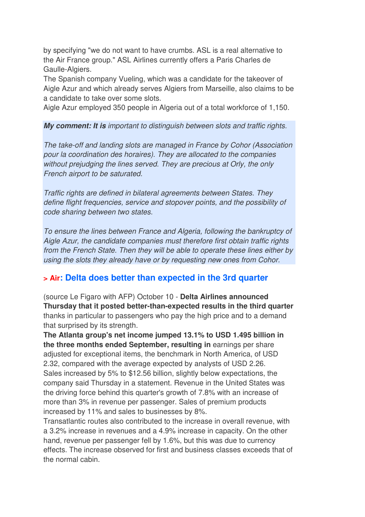by specifying "we do not want to have crumbs. ASL is a real alternative to the Air France group." ASL Airlines currently offers a Paris Charles de Gaulle-Algiers.

The Spanish company Vueling, which was a candidate for the takeover of Aigle Azur and which already serves Algiers from Marseille, also claims to be a candidate to take over some slots.

Aigle Azur employed 350 people in Algeria out of a total workforce of 1,150.

#### *My comment: It is* important to distinguish between slots and traffic rights.

The take-off and landing slots are managed in France by Cohor (Association pour la coordination des horaires). They are allocated to the companies without prejudging the lines served. They are precious at Orly, the only French airport to be saturated.

Traffic rights are defined in bilateral agreements between States. They define flight frequencies, service and stopover points, and the possibility of code sharing between two states.

To ensure the lines between France and Algeria, following the bankruptcy of Aigle Azur, the candidate companies must therefore first obtain traffic rights from the French State. Then they will be able to operate these lines either by using the slots they already have or by requesting new ones from Cohor.

#### **> Air: Delta does better than expected in the 3rd quarter**

(source Le Figaro with AFP) October 10 - **Delta Airlines announced Thursday that it posted better-than-expected results in the third quarter** thanks in particular to passengers who pay the high price and to a demand that surprised by its strength.

**The Atlanta group's net income jumped 13.1% to USD 1.495 billion in the three months ended September, resulting in** earnings per share adjusted for exceptional items, the benchmark in North America, of USD 2.32, compared with the average expected by analysts of USD 2.26. Sales increased by 5% to \$12.56 billion, slightly below expectations, the company said Thursday in a statement. Revenue in the United States was the driving force behind this quarter's growth of 7.8% with an increase of more than 3% in revenue per passenger. Sales of premium products increased by 11% and sales to businesses by 8%.

Transatlantic routes also contributed to the increase in overall revenue, with a 3.2% increase in revenues and a 4.9% increase in capacity. On the other hand, revenue per passenger fell by 1.6%, but this was due to currency effects. The increase observed for first and business classes exceeds that of the normal cabin.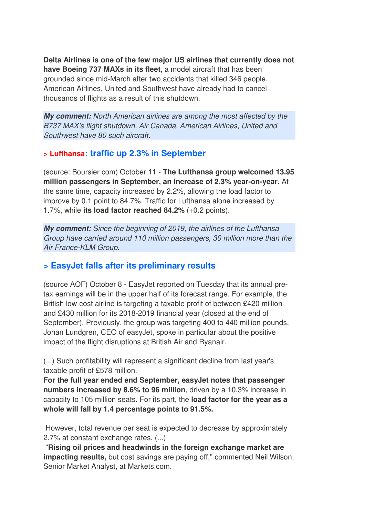**Delta Airlines is one of the few major US airlines that currently does not have Boeing 737 MAXs in its fleet**, a model aircraft that has been grounded since mid-March after two accidents that killed 346 people. American Airlines, United and Southwest have already had to cancel thousands of flights as a result of this shutdown.

*My comment:* North American airlines are among the most affected by the B737 MAX's flight shutdown. Air Canada, American Airlines, United and Southwest have 80 such aircraft.

#### **> Lufthansa: traffic up 2.3% in September**

(source: Boursier com) October 11 - **The Lufthansa group welcomed 13.95 million passengers in September, an increase of 2.3% year-on-year**. At the same time, capacity increased by 2.2%, allowing the load factor to improve by 0.1 point to 84.7%. Traffic for Lufthansa alone increased by 1.7%, while **its load factor reached 84.2%** (+0.2 points).

*My comment:* Since the beginning of 2019, the airlines of the Lufthansa Group have carried around 110 million passengers, 30 million more than the Air France-KLM Group.

## **> EasyJet falls after its preliminary results**

(source AOF) October 8 - EasyJet reported on Tuesday that its annual pretax earnings will be in the upper half of its forecast range. For example, the British low-cost airline is targeting a taxable profit of between £420 million and £430 million for its 2018-2019 financial year (closed at the end of September). Previously, the group was targeting 400 to 440 million pounds. Johan Lundgren, CEO of easyJet, spoke in particular about the positive impact of the flight disruptions at British Air and Ryanair.

(...) Such profitability will represent a significant decline from last year's taxable profit of £578 million.

**For the full year ended end September, easyJet notes that passenger numbers increased by 8.6% to 96 million**, driven by a 10.3% increase in capacity to 105 million seats. For its part, the **load factor for the year as a whole will fall by 1.4 percentage points to 91.5%.** 

 However, total revenue per seat is expected to decrease by approximately 2.7% at constant exchange rates. (...)

 "**Rising oil prices and headwinds in the foreign exchange market are impacting results,** but cost savings are paying off," commented Neil Wilson, Senior Market Analyst, at Markets.com.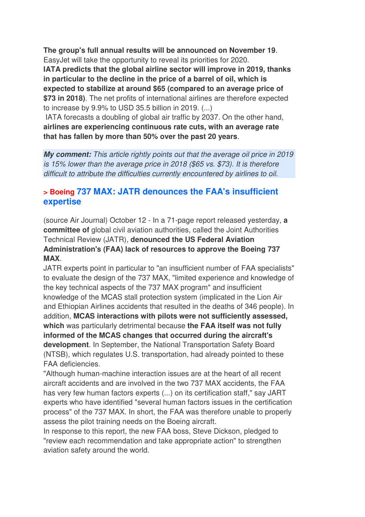**The group's full annual results will be announced on November 19**.

EasyJet will take the opportunity to reveal its priorities for 2020.

**IATA predicts that the global airline sector will improve in 2019, thanks in particular to the decline in the price of a barrel of oil, which is expected to stabilize at around \$65 (compared to an average price of \$73 in 2018)**. The net profits of international airlines are therefore expected to increase by 9.9% to USD 35.5 billion in 2019. (...)

 IATA forecasts a doubling of global air traffic by 2037. On the other hand, **airlines are experiencing continuous rate cuts, with an average rate that has fallen by more than 50% over the past 20 years**.

*My comment:* This article rightly points out that the average oil price in 2019 is 15% lower than the average price in 2018 (\$65 vs. \$73). It is therefore difficult to attribute the difficulties currently encountered by airlines to oil.

### **> Boeing 737 MAX: JATR denounces the FAA's insufficient expertise**

(source Air Journal) October 12 - In a 71-page report released yesterday, **a committee of** global civil aviation authorities, called the Joint Authorities Technical Review (JATR), **denounced the US Federal Aviation Administration's (FAA) lack of resources to approve the Boeing 737 MAX**.

JATR experts point in particular to "an insufficient number of FAA specialists" to evaluate the design of the 737 MAX, "limited experience and knowledge of the key technical aspects of the 737 MAX program" and insufficient knowledge of the MCAS stall protection system (implicated in the Lion Air and Ethiopian Airlines accidents that resulted in the deaths of 346 people). In addition, **MCAS interactions with pilots were not sufficiently assessed, which** was particularly detrimental because **the FAA itself was not fully informed of the MCAS changes that occurred during the aircraft's development**. In September, the National Transportation Safety Board (NTSB), which regulates U.S. transportation, had already pointed to these FAA deficiencies.

"Although human-machine interaction issues are at the heart of all recent aircraft accidents and are involved in the two 737 MAX accidents, the FAA has very few human factors experts (...) on its certification staff," say JART experts who have identified "several human factors issues in the certification process" of the 737 MAX. In short, the FAA was therefore unable to properly assess the pilot training needs on the Boeing aircraft.

In response to this report, the new FAA boss, Steve Dickson, pledged to "review each recommendation and take appropriate action" to strengthen aviation safety around the world.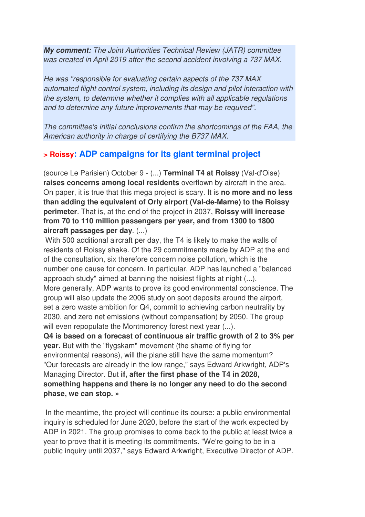*My comment:* The Joint Authorities Technical Review (JATR) committee was created in April 2019 after the second accident involving a 737 MAX.

He was "responsible for evaluating certain aspects of the 737 MAX automated flight control system, including its design and pilot interaction with the system, to determine whether it complies with all applicable regulations and to determine any future improvements that may be required".

The committee's initial conclusions confirm the shortcomings of the FAA, the American authority in charge of certifying the B737 MAX.

## **> Roissy: ADP campaigns for its giant terminal project**

(source Le Parisien) October 9 - (...) **Terminal T4 at Roissy** (Val-d'Oise) **raises concerns among local residents** overflown by aircraft in the area. On paper, it is true that this mega project is scary. It is **no more and no less than adding the equivalent of Orly airport (Val-de-Marne) to the Roissy perimeter**. That is, at the end of the project in 2037, **Roissy will increase from 70 to 110 million passengers per year, and from 1300 to 1800 aircraft passages per day**. (...)

 With 500 additional aircraft per day, the T4 is likely to make the walls of residents of Roissy shake. Of the 29 commitments made by ADP at the end of the consultation, six therefore concern noise pollution, which is the number one cause for concern. In particular, ADP has launched a "balanced approach study" aimed at banning the noisiest flights at night (...). More generally, ADP wants to prove its good environmental conscience. The group will also update the 2006 study on soot deposits around the airport, set a zero waste ambition for Q4, commit to achieving carbon neutrality by 2030, and zero net emissions (without compensation) by 2050. The group will even repopulate the Montmorency forest next year  $(...)$ .

**Q4 is based on a forecast of continuous air traffic growth of 2 to 3% per year.** But with the "flygskam" movement (the shame of flying for environmental reasons), will the plane still have the same momentum? "Our forecasts are already in the low range," says Edward Arkwright, ADP's Managing Director. But **if, after the first phase of the T4 in 2028, something happens and there is no longer any need to do the second phase, we can stop. »** 

In the meantime, the project will continue its course: a public environmental inquiry is scheduled for June 2020, before the start of the work expected by ADP in 2021. The group promises to come back to the public at least twice a year to prove that it is meeting its commitments. "We're going to be in a public inquiry until 2037," says Edward Arkwright, Executive Director of ADP.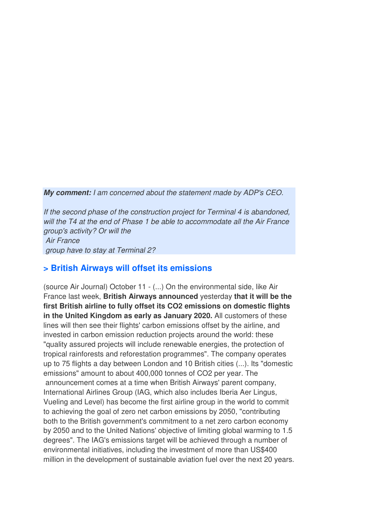*My comment:* I am concerned about the statement made by ADP's CEO.

If the second phase of the construction project for Terminal 4 is abandoned, will the T4 at the end of Phase 1 be able to accommodate all the Air France group's activity? Or will the Air France group have to stay at Terminal 2?

#### **> British Airways will offset its emissions**

(source Air Journal) October 11 - (...) On the environmental side, like Air France last week, **British Airways announced** yesterday **that it will be the first British airline to fully offset its CO2 emissions on domestic flights in the United Kingdom as early as January 2020.** All customers of these lines will then see their flights' carbon emissions offset by the airline, and invested in carbon emission reduction projects around the world: these "quality assured projects will include renewable energies, the protection of tropical rainforests and reforestation programmes". The company operates up to 75 flights a day between London and 10 British cities (...). Its "domestic emissions" amount to about 400,000 tonnes of CO2 per year. The announcement comes at a time when British Airways' parent company, International Airlines Group (IAG, which also includes Iberia Aer Lingus, Vueling and Level) has become the first airline group in the world to commit to achieving the goal of zero net carbon emissions by 2050, "contributing both to the British government's commitment to a net zero carbon economy by 2050 and to the United Nations' objective of limiting global warming to 1.5 degrees". The IAG's emissions target will be achieved through a number of environmental initiatives, including the investment of more than US\$400 million in the development of sustainable aviation fuel over the next 20 years.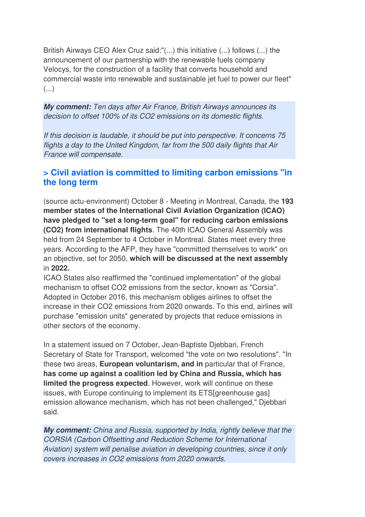British Airways CEO Alex Cruz said:"(...) this initiative (...) follows (...) the announcement of our partnership with the renewable fuels company Velocys, for the construction of a facility that converts household and commercial waste into renewable and sustainable jet fuel to power our fleet" (...)

*My comment:* Ten days after Air France, British Airways announces its decision to offset 100% of its CO2 emissions on its domestic flights.

If this decision is laudable, it should be put into perspective. It concerns 75 flights a day to the United Kingdom, far from the 500 daily flights that Air France will compensate.

### **> Civil aviation is committed to limiting carbon emissions "in the long term**

(source actu-environment) October 8 - Meeting in Montreal, Canada, the **193 member states of the International Civil Aviation Organization (ICAO) have pledged to "set a long-term goal" for reducing carbon emissions (CO2) from international flights**. The 40th ICAO General Assembly was held from 24 September to 4 October in Montreal. States meet every three years. According to the AFP, they have "committed themselves to work" on an objective, set for 2050, **which will be discussed at the next assembly** in **2022.** 

ICAO States also reaffirmed the "continued implementation" of the global mechanism to offset CO2 emissions from the sector, known as "Corsia". Adopted in October 2016, this mechanism obliges airlines to offset the increase in their CO2 emissions from 2020 onwards. To this end, airlines will purchase "emission units" generated by projects that reduce emissions in other sectors of the economy.

In a statement issued on 7 October, Jean-Baptiste Djebbari, French Secretary of State for Transport, welcomed "the vote on two resolutions". "In these two areas, **European voluntarism, and in** particular that of France, **has come up against a coalition led by China and Russia, which has limited the progress expected**. However, work will continue on these issues, with Europe continuing to implement its ETS[greenhouse gas] emission allowance mechanism, which has not been challenged," Djebbari said.

*My comment:* China and Russia, supported by India, rightly believe that the CORSIA (Carbon Offsetting and Reduction Scheme for International Aviation) system will penalise aviation in developing countries, since it only covers increases in CO2 emissions from 2020 onwards.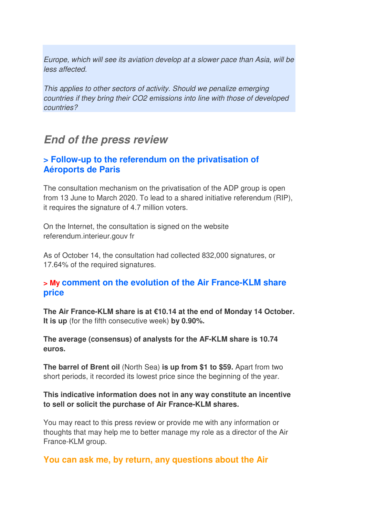Europe, which will see its aviation develop at a slower pace than Asia, will be less affected.

This applies to other sectors of activity. Should we penalize emerging countries if they bring their CO2 emissions into line with those of developed countries?

## *End of the press review*

#### **> Follow-up to the referendum on the privatisation of Aéroports de Paris**

The consultation mechanism on the privatisation of the ADP group is open from 13 June to March 2020. To lead to a shared initiative referendum (RIP), it requires the signature of 4.7 million voters.

On the Internet, the consultation is signed on the website referendum.interieur.gouv fr

As of October 14, the consultation had collected 832,000 signatures, or 17.64% of the required signatures.

#### **> My comment on the evolution of the Air France-KLM share price**

**The Air France-KLM share is at €10.14 at the end of Monday 14 October. It is up** (for the fifth consecutive week) **by 0.90%.**

**The average (consensus) of analysts for the AF-KLM share is 10.74 euros.**

**The barrel of Brent oil** (North Sea) **is up from \$1 to \$59.** Apart from two short periods, it recorded its lowest price since the beginning of the year.

#### **This indicative information does not in any way constitute an incentive to sell or solicit the purchase of Air France-KLM shares.**

You may react to this press review or provide me with any information or thoughts that may help me to better manage my role as a director of the Air France-KLM group.

#### **You can ask me, by return, any questions about the Air**